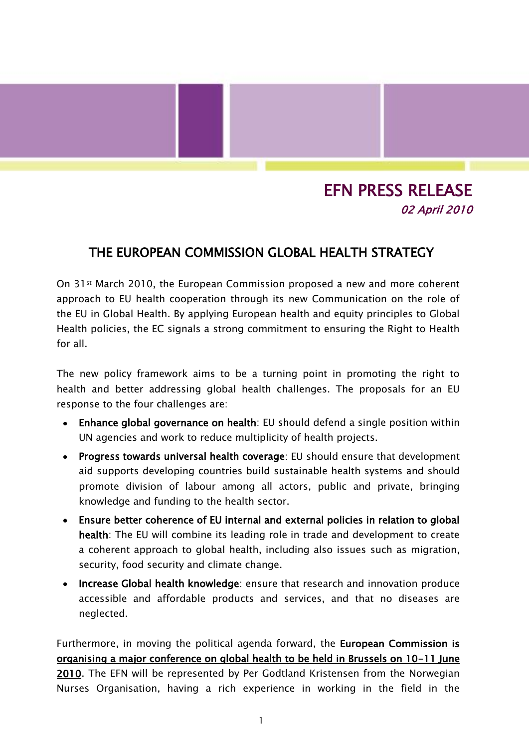## EFN PRESS RELEASE 02 April 2010

## THE EUROPEAN COMMISSION GLOBAL HEALTH STRATEGY

On 31st March 2010, the European Commission proposed a new and more coherent approach to EU health cooperation through its new Communication on the role of the EU in Global Health. By applying European health and equity principles to Global Health policies, the EC signals a strong commitment to ensuring the Right to Health for all.

The new policy framework aims to be a turning point in promoting the right to health and better addressing global health challenges. The proposals for an EU response to the four challenges are:

- Enhance global governance on health: EU should defend a single position within UN agencies and work to reduce multiplicity of health projects.
- Progress towards universal health coverage: EU should ensure that development aid supports developing countries build sustainable health systems and should promote division of labour among all actors, public and private, bringing knowledge and funding to the health sector.
- Ensure better coherence of EU internal and external policies in relation to global health: The EU will combine its leading role in trade and development to create a coherent approach to global health, including also issues such as migration, security, food security and climate change.
- Increase Global health knowledge: ensure that research and innovation produce accessible and affordable products and services, and that no diseases are neglected.

Furthermore, in moving the political agenda forward, the European Commission is organising a major conference on global health to be held in Brussels on 10-11 June 2010. The EFN will be represented by Per Godtland Kristensen from the Norwegian Nurses Organisation, having a rich experience in working in the field in the